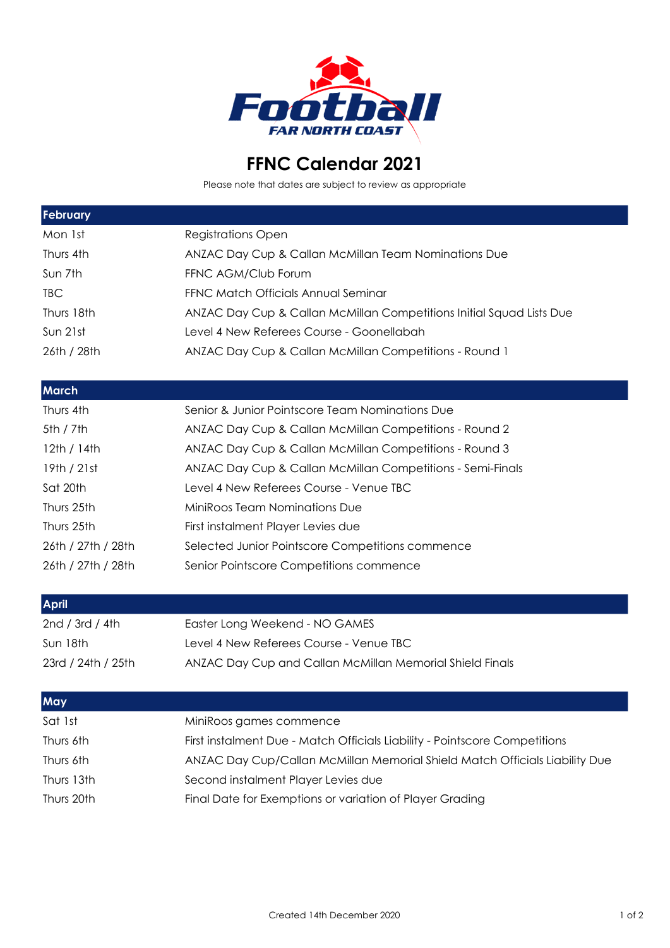

## FFNC Calendar 2021

Please note that dates are subject to review as appropriate

| February           |                                                                             |
|--------------------|-----------------------------------------------------------------------------|
| Mon 1st            | <b>Registrations Open</b>                                                   |
| Thurs 4th          | ANZAC Day Cup & Callan McMillan Team Nominations Due                        |
| Sun 7th            | FFNC AGM/Club Forum                                                         |
| <b>TBC</b>         | FFNC Match Officials Annual Seminar                                         |
| Thurs 18th         | ANZAC Day Cup & Callan McMillan Competitions Initial Squad Lists Due        |
| Sun 21st           | Level 4 New Referees Course - Goonellabah                                   |
| 26th / 28th        | ANZAC Day Cup & Callan McMillan Competitions - Round 1                      |
| <b>March</b>       |                                                                             |
| Thurs 4th          | Senior & Junior Pointscore Team Nominations Due                             |
| 5th / 7th          | ANZAC Day Cup & Callan McMillan Competitions - Round 2                      |
| 12th / 14th        | ANZAC Day Cup & Callan McMillan Competitions - Round 3                      |
| 19th / 21st        | ANZAC Day Cup & Callan McMillan Competitions - Semi-Finals                  |
| Sat 20th           | Level 4 New Referees Course - Venue TBC                                     |
| Thurs 25th         | MiniRoos Team Nominations Due                                               |
| Thurs 25th         | First instalment Player Levies due                                          |
| 26th / 27th / 28th | Selected Junior Pointscore Competitions commence                            |
| 26th / 27th / 28th | Senior Pointscore Competitions commence                                     |
| <b>April</b>       |                                                                             |
| 2nd / 3rd / 4th    | Easter Long Weekend - NO GAMES                                              |
| Sun 18th           | Level 4 New Referees Course - Venue TBC                                     |
| 23rd / 24th / 25th | ANZAC Day Cup and Callan McMillan Memorial Shield Finals                    |
| May                |                                                                             |
| Sat 1st            | MiniRoos games commence                                                     |
| Thurs 6th          | First instalment Due - Match Officials Liability - Pointscore Competitions  |
| Thurs 6th          | ANZAC Day Cup/Callan McMillan Memorial Shield Match Officials Liability Due |
| Thurs 13th         | Second instalment Player Levies due                                         |
| Thurs 20th         | Final Date for Exemptions or variation of Player Grading                    |